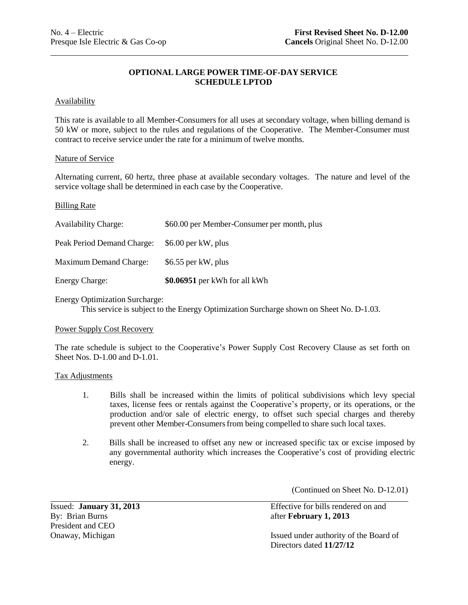# **OPTIONAL LARGE POWER TIME-OF-DAY SERVICE SCHEDULE LPTOD**

# **Availability**

 This rate is available to all Member-Consumers for all uses at secondary voltage, when billing demand is 50 kW or more, subject to the rules and regulations of the Cooperative. The Member-Consumer must contract to receive service under the rate for a minimum of twelve months.

# Nature of Service

 Alternating current, 60 hertz, three phase at available secondary voltages. The nature and level of the service voltage shall be determined in each case by the Cooperative.

# Billing Rate

| <b>Availability Charge:</b>   | \$60.00 per Member-Consumer per month, plus |
|-------------------------------|---------------------------------------------|
| Peak Period Demand Charge:    | \$6.00 per kW, plus                         |
| <b>Maximum Demand Charge:</b> | \$6.55 per kW, plus                         |
| <b>Energy Charge:</b>         | \$0.06951 per kWh for all kWh               |

Energy Optimization Surcharge:

This service is subject to the Energy Optimization Surcharge shown on Sheet No. D-1.03.

### Power Supply Cost Recovery

 The rate schedule is subject to the Cooperative's Power Supply Cost Recovery Clause as set forth on Sheet Nos. D-1.00 and D-1.01.

# Tax Adjustments

- $1.$  taxes, license fees or rentals against the Cooperative's property, or its operations, or the production and/or sale of electric energy, to offset such special charges and thereby prevent other Member-Consumers from being compelled to share such local taxes. 1. Bills shall be increased within the limits of political subdivisions which levy special
- $\overline{2}$ . any governmental authority which increases the Cooperative's cost of providing electric 2. Bills shall be increased to offset any new or increased specific tax or excise imposed by energy.

(Continued on Sheet No. D-12.01)

Issued: January 31, 2013 By: Brian Burns **and Burns** after **February 1, 2013** President and CEO

Effective for bills rendered on and

Onaway, Michigan **Issued under authority of the Board of** Directors dated **11/27/12**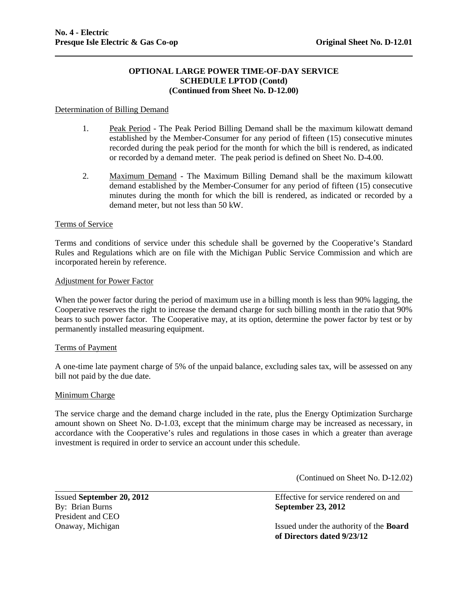# **OPTIONAL LARGE POWER TIME-OF-DAY SERVICE SCHEDULE LPTOD (Contd) (Continued from Sheet No. D-12.00)**

# Determination of Billing Demand

- 1. Peak Period The Peak Period Billing Demand shall be the maximum kilowatt demand established by the Member-Consumer for any period of fifteen (15) consecutive minutes recorded during the peak period for the month for which the bill is rendered, as indicated or recorded by a demand meter. The peak period is defined on Sheet No. D-4.00.
- 2. Maximum Demand The Maximum Billing Demand shall be the maximum kilowatt demand established by the Member-Consumer for any period of fifteen (15) consecutive minutes during the month for which the bill is rendered, as indicated or recorded by a demand meter, but not less than 50 kW.

### Terms of Service

Terms and conditions of service under this schedule shall be governed by the Cooperative's Standard Rules and Regulations which are on file with the Michigan Public Service Commission and which are incorporated herein by reference.

#### Adjustment for Power Factor

When the power factor during the period of maximum use in a billing month is less than 90% lagging, the Cooperative reserves the right to increase the demand charge for such billing month in the ratio that 90% bears to such power factor. The Cooperative may, at its option, determine the power factor by test or by permanently installed measuring equipment.

#### Terms of Payment

A one-time late payment charge of 5% of the unpaid balance, excluding sales tax, will be assessed on any bill not paid by the due date.

# Minimum Charge

The service charge and the demand charge included in the rate, plus the Energy Optimization Surcharge amount shown on Sheet No. D-1.03, except that the minimum charge may be increased as necessary, in accordance with the Cooperative's rules and regulations in those cases in which a greater than average investment is required in order to service an account under this schedule.

(Continued on Sheet No. D-12.02)

Issued **September 20, 2012** Effective for service rendered on and By: Brian Burns **September 23, 2012** President and CEO Onaway, Michigan Issued under the authority of the **Board of Directors dated 9/23/12**